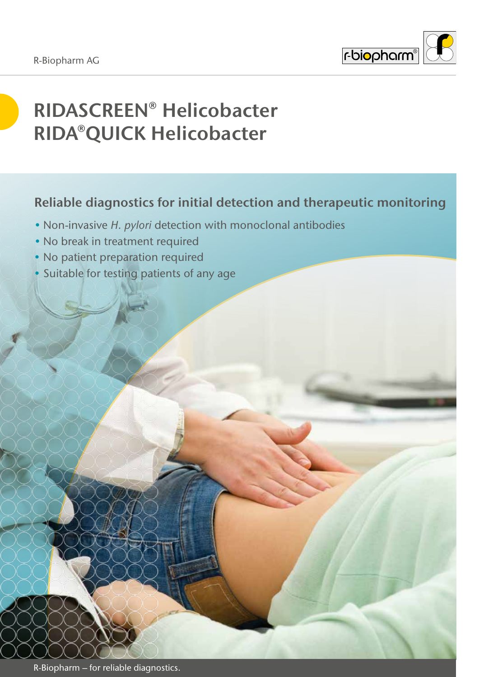

# **RIDASCREEN® Helicobacter RIDA®QUICK Helicobacter**

### **Reliable diagnostics for initial detection and therapeutic monitoring**

- Non-invasive *H. pylori* detection with monoclonal antibodies
- No break in treatment required
- No patient preparation required
- Suitable for testing patients of any age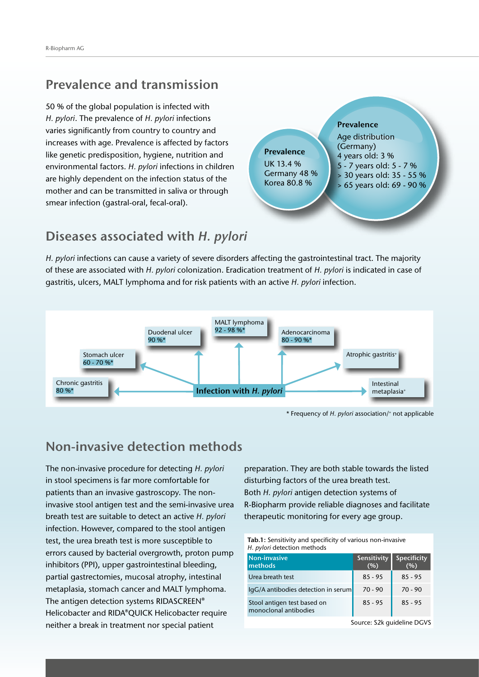### **Prevalence and transmission**

50 % of the global population is infected with *H. pylori*. The prevalence of *H. pylori* infections varies significantly from country to country and increases with age. Prevalence is affected by factors like genetic predisposition, hygiene, nutrition and environmental factors. *H. pylori* infections in children are highly dependent on the infection status of the mother and can be transmitted in saliva or through smear infection (gastral-oral, fecal-oral).



### **Diseases associated with** *H. pylori*

*H. pylori* infections can cause a variety of severe disorders affecting the gastrointestinal tract. The majority of these are associated with *H. pylori* colonization. Eradication treatment of *H. pylori* is indicated in case of gastritis, ulcers, MALT lymphoma and for risk patients with an active *H. pylori* infection.



\* Frequency of *H. pylori* association/+ not applicable

### **Non-invasive detection methods**

The non-invasive procedure for detecting *H. pylori* in stool specimens is far more comfortable for patients than an invasive gastroscopy. The noninvasive stool antigen test and the semi-invasive urea breath test are suitable to detect an active *H. pylori*  infection. However, compared to the stool antigen test, the urea breath test is more susceptible to errors caused by bacterial overgrowth, proton pump inhibitors (PPI), upper gastrointestinal bleeding, partial gastrectomies, mucosal atrophy, intestinal metaplasia, stomach cancer and MALT lymphoma. The antigen detection systems RIDASCREEN® Helicobacter and RIDA®QUICK Helicobacter require neither a break in treatment nor special patient

preparation. They are both stable towards the listed disturbing factors of the urea breath test. Both *H. pylori* antigen detection systems of R-Biopharm provide reliable diagnoses and facilitate therapeutic monitoring for every age group.

| Tab.1: Sensitivity and specificity of various non-invasive |
|------------------------------------------------------------|
| H. <i>pylori</i> detection methods                         |

| Non-invasive<br><b>Imethods</b>                      | Sensitivity<br>(%) | <b>Specificity</b><br>(%) |
|------------------------------------------------------|--------------------|---------------------------|
| Urea breath test                                     | $85 - 95$          | $85 - 95$                 |
| $\lg G/A$ antibodies detection in serum              | $70 - 90$          | $70 - 90$                 |
| Stool antigen test based on<br>monoclonal antibodies | $85 - 95$          | $85 - 95$                 |

Source: S2k guideline DGVS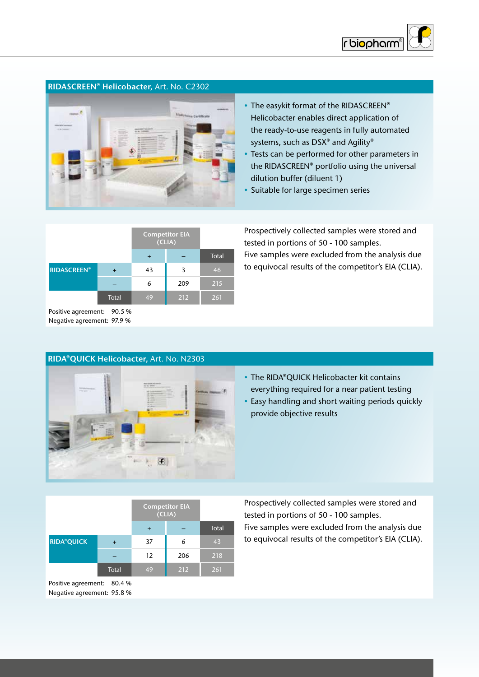

### **RIDASCREEN® Helicobacter,** Art. No. C2302



- The easykit format of the RIDASCREEN® Helicobacter enables direct application of the ready-to-use reagents in fully automated systems, such as DSX® and Agility®
- Tests can be performed for other parameters in the RIDASCREEN® portfolio using the universal dilution buffer (diluent 1)
- Suitable for large specimen series

|                    |       | <b>Competitor EIA</b><br>(CLIA) |     |       |
|--------------------|-------|---------------------------------|-----|-------|
|                    |       |                                 |     | Total |
| <b>RIDASCREEN®</b> | ᆠ     | 43                              | 3   | 46    |
|                    |       | 6                               | 209 | 215   |
|                    | Total | 49                              | 212 | 261   |

Prospectively collected samples were stored and tested in portions of 50 - 100 samples. Five samples were excluded from the analysis due to equivocal results of the competitor's EIA (CLIA).

Positive agreement: 90.5 % Negative agreement: 97.9 %

# C

**RIDA®QUICK Helicobacter,** Art. No. N2303

- The RIDA®QUICK Helicobacter kit contains everything required for a near patient testing
- Easy handling and short waiting periods quickly provide objective results

|                   |       | <b>Competitor EIA</b><br>(CLIA) |     |              |
|-------------------|-------|---------------------------------|-----|--------------|
|                   |       |                                 |     | <b>Total</b> |
| <b>RIDA®QUICK</b> |       | 37                              | 6   | 43           |
|                   |       | 12                              | 206 | 218          |
|                   | Total | 49                              | 212 | 261          |

Positive agreement: 80.4 % Negative agreement: 95.8 %

Prospectively collected samples were stored and tested in portions of 50 - 100 samples. Five samples were excluded from the analysis due to equivocal results of the competitor's EIA (CLIA).